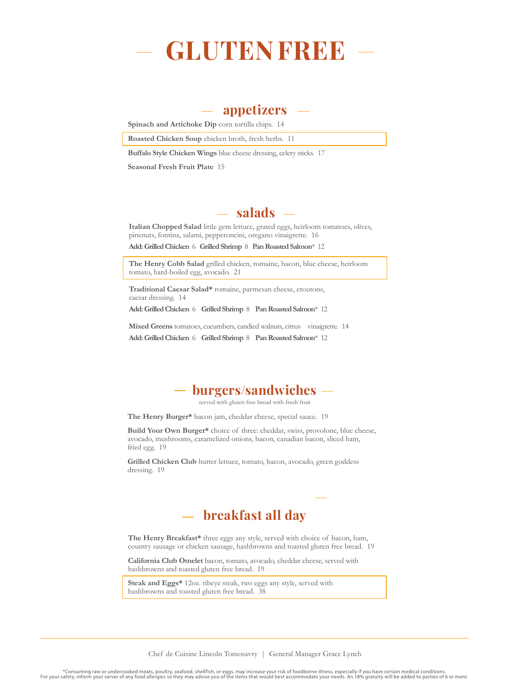

## **appetizers**

**Spinach and Artichoke Dip** corn tortilla chips. 14

**Roasted Chicken Soup** chicken broth, fresh herbs. 11

**Buffalo Style Chicken Wings** blue cheese dressing, celery sticks. 17

**Seasonal Fresh Fruit Plate** 15

## **salads**

**Italian Chopped Salad** little gem lettuce, grated eggs, heirloom tomatoes, olives, pinenuts, fontina, salami, pepperoncini, oregano vinaigrette. 16

**Add: Grilled Chicken** 6 **Grilled Shrimp** 8 **Pan Roasted Salmon**\* 12

**The Henry Cobb Salad** grilled chicken, romaine, bacon, blue cheese, heirloom tomato, hard-boiled egg, avocado. 21

**Traditional Caesar Salad\*** romaine, parmesan cheese, croutons, caesar dressing. 14

**Add: Grilled Chicken** 6 **Grilled Shrimp** 8 **Pan Roasted Salmon**\* 12

**Mixed Greens** tomatoes, cucumbers, candied walnuts, citrus vinaigrette. 14 **Add: Grilled Chicken** 6 **Grilled Shrimp** 8 **Pan Roasted Salmon**\* 12



served with gluten free bread with fresh fruit

**The Henry Burger\*** bacon jam, cheddar cheese, special sauce. 19

**Build Your Own Burger\*** choice of three: cheddar, swiss, provolone, blue cheese, avocado, mushrooms, caramelized onions, bacon, canadian bacon, sliced ham, fried egg. 19

**Grilled Chicken Club** butter lettuce, tomato, bacon, avocado, green goddess dressing. 19

## **breakfast all day**

**The Henry Breakfast\*** three eggs any style, served with choice of bacon, ham, country sausage or chicken sausage, hashbrowns and toasted gluten free bread. 19

**California Club Omelet** bacon, tomato, avocado, cheddar cheese, served with hashbrowns and toasted gluten free bread. 19

**Steak and Eggs\*** 12oz. ribeye steak, two eggs any style, served with hashbrowns and toasted gluten free bread. 38

Chef de Cuisine Lincoln Tomosavry | General Manager Grace Lynch